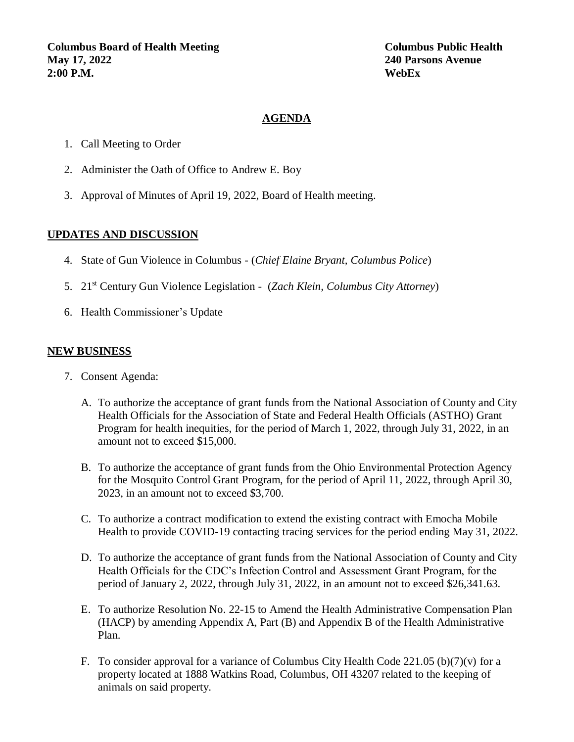#### **AGENDA**

- 1. Call Meeting to Order
- 2. Administer the Oath of Office to Andrew E. Boy
- 3. Approval of Minutes of April 19, 2022, Board of Health meeting.

#### **UPDATES AND DISCUSSION**

- 4. State of Gun Violence in Columbus (*Chief Elaine Bryant, Columbus Police*)
- 5. 21st Century Gun Violence Legislation (*Zach Klein, Columbus City Attorney*)
- 6. Health Commissioner's Update

#### **NEW BUSINESS**

- 7. Consent Agenda:
	- A. To authorize the acceptance of grant funds from the National Association of County and City Health Officials for the Association of State and Federal Health Officials (ASTHO) Grant Program for health inequities, for the period of March 1, 2022, through July 31, 2022, in an amount not to exceed \$15,000.
	- B. To authorize the acceptance of grant funds from the Ohio Environmental Protection Agency for the Mosquito Control Grant Program, for the period of April 11, 2022, through April 30, 2023, in an amount not to exceed \$3,700.
	- C. To authorize a contract modification to extend the existing contract with Emocha Mobile Health to provide COVID-19 contacting tracing services for the period ending May 31, 2022.
	- D. To authorize the acceptance of grant funds from the National Association of County and City Health Officials for the CDC's Infection Control and Assessment Grant Program, for the period of January 2, 2022, through July 31, 2022, in an amount not to exceed \$26,341.63.
	- E. To authorize Resolution No. 22-15 to Amend the Health Administrative Compensation Plan (HACP) by amending Appendix A, Part (B) and Appendix B of the Health Administrative Plan.
	- F. To consider approval for a variance of Columbus City Health Code 221.05 (b)(7)(v) for a property located at 1888 Watkins Road, Columbus, OH 43207 related to the keeping of animals on said property.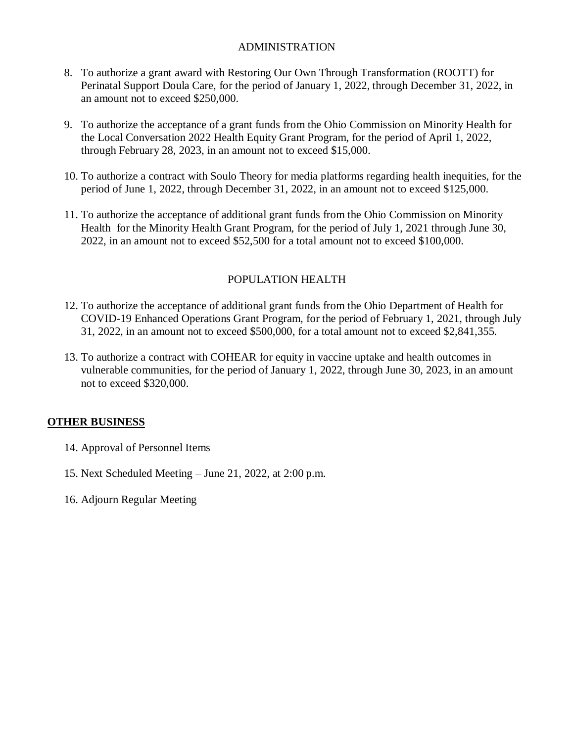### ADMINISTRATION

- 8. To authorize a grant award with Restoring Our Own Through Transformation (ROOTT) for Perinatal Support Doula Care, for the period of January 1, 2022, through December 31, 2022, in an amount not to exceed \$250,000.
- 9. To authorize the acceptance of a grant funds from the Ohio Commission on Minority Health for the Local Conversation 2022 Health Equity Grant Program, for the period of April 1, 2022, through February 28, 2023, in an amount not to exceed \$15,000.
- 10. To authorize a contract with Soulo Theory for media platforms regarding health inequities, for the period of June 1, 2022, through December 31, 2022, in an amount not to exceed \$125,000.
- 11. To authorize the acceptance of additional grant funds from the Ohio Commission on Minority Health for the Minority Health Grant Program, for the period of July 1, 2021 through June 30, 2022, in an amount not to exceed \$52,500 for a total amount not to exceed \$100,000.

# POPULATION HEALTH

- 12. To authorize the acceptance of additional grant funds from the Ohio Department of Health for COVID-19 Enhanced Operations Grant Program, for the period of February 1, 2021, through July 31, 2022, in an amount not to exceed \$500,000, for a total amount not to exceed \$2,841,355.
- 13. To authorize a contract with COHEAR for equity in vaccine uptake and health outcomes in vulnerable communities, for the period of January 1, 2022, through June 30, 2023, in an amount not to exceed \$320,000.

# **OTHER BUSINESS**

- 14. Approval of Personnel Items
- 15. Next Scheduled Meeting June 21, 2022, at 2:00 p.m.
- 16. Adjourn Regular Meeting